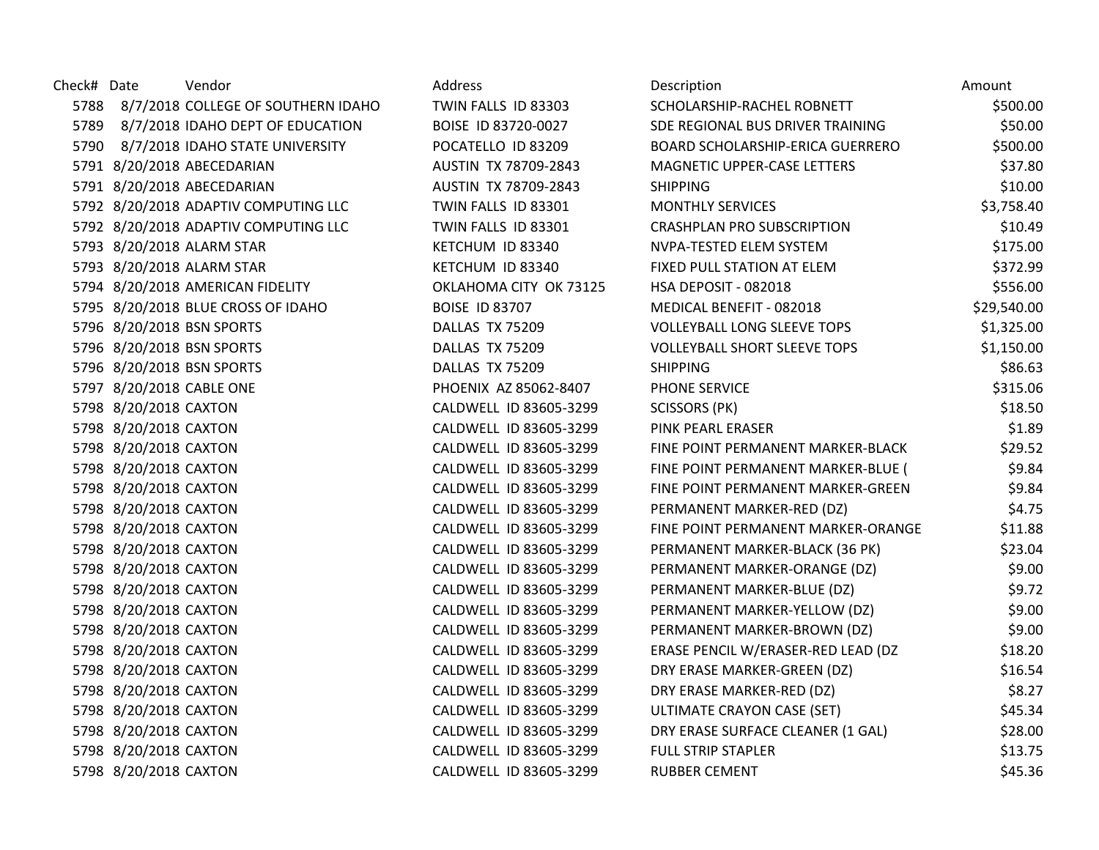| Check# Date |                          | Vendor                                  | Address                | Description                         | Amount      |
|-------------|--------------------------|-----------------------------------------|------------------------|-------------------------------------|-------------|
|             |                          | 5788 8/7/2018 COLLEGE OF SOUTHERN IDAHO | TWIN FALLS ID 83303    | SCHOLARSHIP-RACHEL ROBNETT          | \$500.00    |
| 5789        |                          | 8/7/2018 IDAHO DEPT OF EDUCATION        | BOISE ID 83720-0027    | SDE REGIONAL BUS DRIVER TRAINING    | \$50.00     |
|             |                          | 5790 8/7/2018 IDAHO STATE UNIVERSITY    | POCATELLO ID 83209     | BOARD SCHOLARSHIP-ERICA GUERRERO    | \$500.00    |
|             |                          | 5791 8/20/2018 ABECEDARIAN              | AUSTIN TX 78709-2843   | MAGNETIC UPPER-CASE LETTERS         | \$37.80     |
|             |                          | 5791 8/20/2018 ABECEDARIAN              | AUSTIN TX 78709-2843   | <b>SHIPPING</b>                     | \$10.00     |
|             |                          | 5792 8/20/2018 ADAPTIV COMPUTING LLC    | TWIN FALLS ID 83301    | <b>MONTHLY SERVICES</b>             | \$3,758.40  |
|             |                          | 5792 8/20/2018 ADAPTIV COMPUTING LLC    | TWIN FALLS ID 83301    | <b>CRASHPLAN PRO SUBSCRIPTION</b>   | \$10.49     |
|             |                          | 5793 8/20/2018 ALARM STAR               | KETCHUM ID 83340       | NVPA-TESTED ELEM SYSTEM             | \$175.00    |
|             |                          | 5793 8/20/2018 ALARM STAR               | KETCHUM ID 83340       | FIXED PULL STATION AT ELEM          | \$372.99    |
|             |                          | 5794 8/20/2018 AMERICAN FIDELITY        | OKLAHOMA CITY OK 73125 | HSA DEPOSIT - 082018                | \$556.00    |
|             |                          | 5795 8/20/2018 BLUE CROSS OF IDAHO      | <b>BOISE ID 83707</b>  | MEDICAL BENEFIT - 082018            | \$29,540.00 |
|             |                          | 5796 8/20/2018 BSN SPORTS               | DALLAS TX 75209        | <b>VOLLEYBALL LONG SLEEVE TOPS</b>  | \$1,325.00  |
|             |                          | 5796 8/20/2018 BSN SPORTS               | DALLAS TX 75209        | <b>VOLLEYBALL SHORT SLEEVE TOPS</b> | \$1,150.00  |
|             |                          | 5796 8/20/2018 BSN SPORTS               | DALLAS TX 75209        | <b>SHIPPING</b>                     | \$86.63     |
|             | 5797 8/20/2018 CABLE ONE |                                         | PHOENIX AZ 85062-8407  | PHONE SERVICE                       | \$315.06    |
|             | 5798 8/20/2018 CAXTON    |                                         | CALDWELL ID 83605-3299 | <b>SCISSORS (PK)</b>                | \$18.50     |
|             | 5798 8/20/2018 CAXTON    |                                         | CALDWELL ID 83605-3299 | PINK PEARL ERASER                   | \$1.89      |
|             | 5798 8/20/2018 CAXTON    |                                         | CALDWELL ID 83605-3299 | FINE POINT PERMANENT MARKER-BLACK   | \$29.52     |
|             | 5798 8/20/2018 CAXTON    |                                         | CALDWELL ID 83605-3299 | FINE POINT PERMANENT MARKER-BLUE (  | \$9.84      |
|             | 5798 8/20/2018 CAXTON    |                                         | CALDWELL ID 83605-3299 | FINE POINT PERMANENT MARKER-GREEN   | \$9.84      |
|             | 5798 8/20/2018 CAXTON    |                                         | CALDWELL ID 83605-3299 | PERMANENT MARKER-RED (DZ)           | \$4.75      |
|             | 5798 8/20/2018 CAXTON    |                                         | CALDWELL ID 83605-3299 | FINE POINT PERMANENT MARKER-ORANGE  | \$11.88     |
|             | 5798 8/20/2018 CAXTON    |                                         | CALDWELL ID 83605-3299 | PERMANENT MARKER-BLACK (36 PK)      | \$23.04     |
|             | 5798 8/20/2018 CAXTON    |                                         | CALDWELL ID 83605-3299 | PERMANENT MARKER-ORANGE (DZ)        | \$9.00      |
|             | 5798 8/20/2018 CAXTON    |                                         | CALDWELL ID 83605-3299 | PERMANENT MARKER-BLUE (DZ)          | \$9.72      |
|             | 5798 8/20/2018 CAXTON    |                                         | CALDWELL ID 83605-3299 | PERMANENT MARKER-YELLOW (DZ)        | \$9.00      |
|             | 5798 8/20/2018 CAXTON    |                                         | CALDWELL ID 83605-3299 | PERMANENT MARKER-BROWN (DZ)         | \$9.00      |
|             | 5798 8/20/2018 CAXTON    |                                         | CALDWELL ID 83605-3299 | ERASE PENCIL W/ERASER-RED LEAD (DZ  | \$18.20     |
|             | 5798 8/20/2018 CAXTON    |                                         | CALDWELL ID 83605-3299 | DRY ERASE MARKER-GREEN (DZ)         | \$16.54     |
|             | 5798 8/20/2018 CAXTON    |                                         | CALDWELL ID 83605-3299 | DRY ERASE MARKER-RED (DZ)           | \$8.27      |
|             | 5798 8/20/2018 CAXTON    |                                         | CALDWELL ID 83605-3299 | ULTIMATE CRAYON CASE (SET)          | \$45.34     |
|             | 5798 8/20/2018 CAXTON    |                                         | CALDWELL ID 83605-3299 | DRY ERASE SURFACE CLEANER (1 GAL)   | \$28.00     |
|             | 5798 8/20/2018 CAXTON    |                                         | CALDWELL ID 83605-3299 | <b>FULL STRIP STAPLER</b>           | \$13.75     |
|             | 5798 8/20/2018 CAXTON    |                                         | CALDWELL ID 83605-3299 | <b>RUBBER CEMENT</b>                | \$45.36     |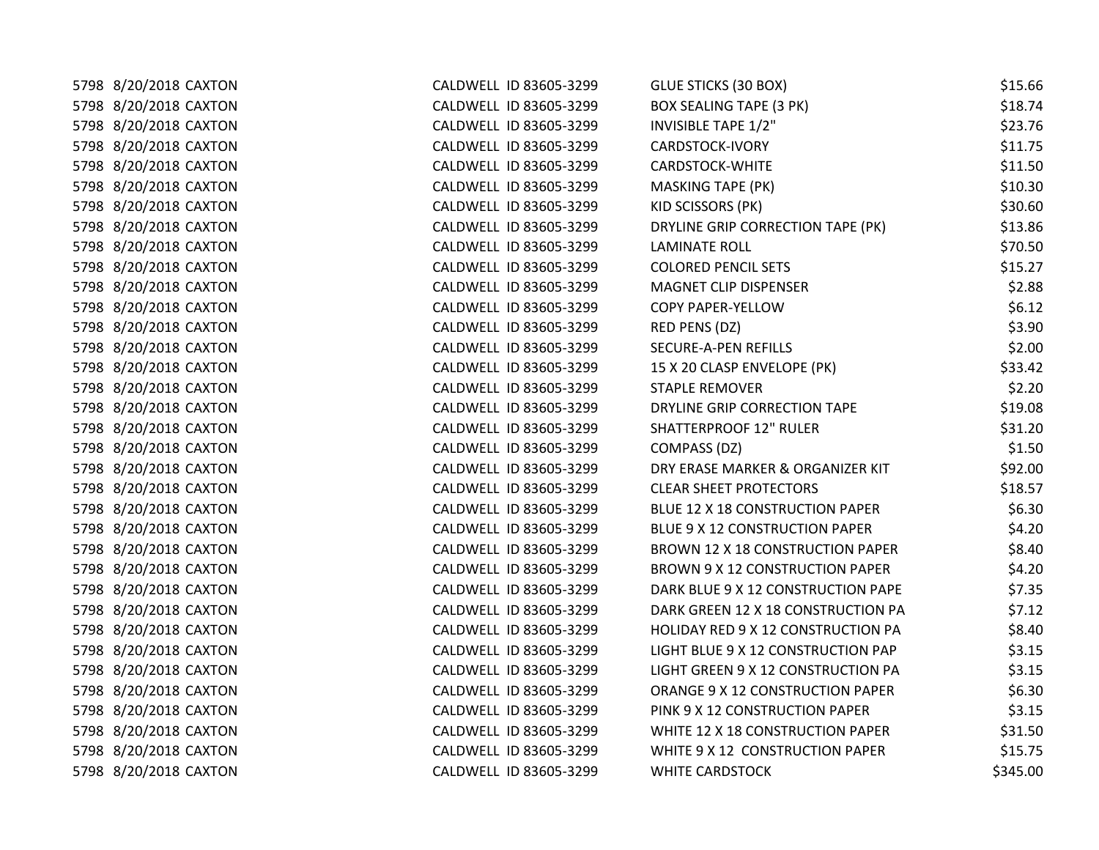| 5798 8/20/2018 CAXTON | CALDWELL ID 83605-3299 | <b>GLUE STICKS (30 BOX)</b>        | \$15.66  |
|-----------------------|------------------------|------------------------------------|----------|
| 5798 8/20/2018 CAXTON | CALDWELL ID 83605-3299 | <b>BOX SEALING TAPE (3 PK)</b>     | \$18.74  |
| 5798 8/20/2018 CAXTON | CALDWELL ID 83605-3299 | <b>INVISIBLE TAPE 1/2"</b>         | \$23.76  |
| 5798 8/20/2018 CAXTON | CALDWELL ID 83605-3299 | CARDSTOCK-IVORY                    | \$11.75  |
| 5798 8/20/2018 CAXTON | CALDWELL ID 83605-3299 | CARDSTOCK-WHITE                    | \$11.50  |
| 5798 8/20/2018 CAXTON | CALDWELL ID 83605-3299 | <b>MASKING TAPE (PK)</b>           | \$10.30  |
| 5798 8/20/2018 CAXTON | CALDWELL ID 83605-3299 | KID SCISSORS (PK)                  | \$30.60  |
| 5798 8/20/2018 CAXTON | CALDWELL ID 83605-3299 | DRYLINE GRIP CORRECTION TAPE (PK)  | \$13.86  |
| 5798 8/20/2018 CAXTON | CALDWELL ID 83605-3299 | <b>LAMINATE ROLL</b>               | \$70.50  |
| 5798 8/20/2018 CAXTON | CALDWELL ID 83605-3299 | <b>COLORED PENCIL SETS</b>         | \$15.27  |
| 5798 8/20/2018 CAXTON | CALDWELL ID 83605-3299 | MAGNET CLIP DISPENSER              | \$2.88   |
| 5798 8/20/2018 CAXTON | CALDWELL ID 83605-3299 | <b>COPY PAPER-YELLOW</b>           | \$6.12   |
| 5798 8/20/2018 CAXTON | CALDWELL ID 83605-3299 | RED PENS (DZ)                      | \$3.90   |
| 5798 8/20/2018 CAXTON | CALDWELL ID 83605-3299 | SECURE-A-PEN REFILLS               | \$2.00   |
| 5798 8/20/2018 CAXTON | CALDWELL ID 83605-3299 | 15 X 20 CLASP ENVELOPE (PK)        | \$33.42  |
| 5798 8/20/2018 CAXTON | CALDWELL ID 83605-3299 | <b>STAPLE REMOVER</b>              | \$2.20   |
| 5798 8/20/2018 CAXTON | CALDWELL ID 83605-3299 | DRYLINE GRIP CORRECTION TAPE       | \$19.08  |
| 5798 8/20/2018 CAXTON | CALDWELL ID 83605-3299 | <b>SHATTERPROOF 12" RULER</b>      | \$31.20  |
| 5798 8/20/2018 CAXTON | CALDWELL ID 83605-3299 | COMPASS (DZ)                       | \$1.50   |
| 5798 8/20/2018 CAXTON | CALDWELL ID 83605-3299 | DRY ERASE MARKER & ORGANIZER KIT   | \$92.00  |
| 5798 8/20/2018 CAXTON | CALDWELL ID 83605-3299 | <b>CLEAR SHEET PROTECTORS</b>      | \$18.57  |
| 5798 8/20/2018 CAXTON | CALDWELL ID 83605-3299 | BLUE 12 X 18 CONSTRUCTION PAPER    | \$6.30   |
| 5798 8/20/2018 CAXTON | CALDWELL ID 83605-3299 | BLUE 9 X 12 CONSTRUCTION PAPER     | \$4.20   |
| 5798 8/20/2018 CAXTON | CALDWELL ID 83605-3299 | BROWN 12 X 18 CONSTRUCTION PAPER   | \$8.40   |
| 5798 8/20/2018 CAXTON | CALDWELL ID 83605-3299 | BROWN 9 X 12 CONSTRUCTION PAPER    | \$4.20   |
| 5798 8/20/2018 CAXTON | CALDWELL ID 83605-3299 | DARK BLUE 9 X 12 CONSTRUCTION PAPE | \$7.35   |
| 5798 8/20/2018 CAXTON | CALDWELL ID 83605-3299 | DARK GREEN 12 X 18 CONSTRUCTION PA | \$7.12   |
| 5798 8/20/2018 CAXTON | CALDWELL ID 83605-3299 | HOLIDAY RED 9 X 12 CONSTRUCTION PA | \$8.40   |
| 5798 8/20/2018 CAXTON | CALDWELL ID 83605-3299 | LIGHT BLUE 9 X 12 CONSTRUCTION PAP | \$3.15   |
| 5798 8/20/2018 CAXTON | CALDWELL ID 83605-3299 | LIGHT GREEN 9 X 12 CONSTRUCTION PA | \$3.15   |
| 5798 8/20/2018 CAXTON | CALDWELL ID 83605-3299 | ORANGE 9 X 12 CONSTRUCTION PAPER   | \$6.30   |
| 5798 8/20/2018 CAXTON | CALDWELL ID 83605-3299 | PINK 9 X 12 CONSTRUCTION PAPER     | \$3.15   |
| 5798 8/20/2018 CAXTON | CALDWELL ID 83605-3299 | WHITE 12 X 18 CONSTRUCTION PAPER   | \$31.50  |
| 5798 8/20/2018 CAXTON | CALDWELL ID 83605-3299 | WHITE 9 X 12 CONSTRUCTION PAPER    | \$15.75  |
| 5798 8/20/2018 CAXTON | CALDWELL ID 83605-3299 | <b>WHITE CARDSTOCK</b>             | \$345.00 |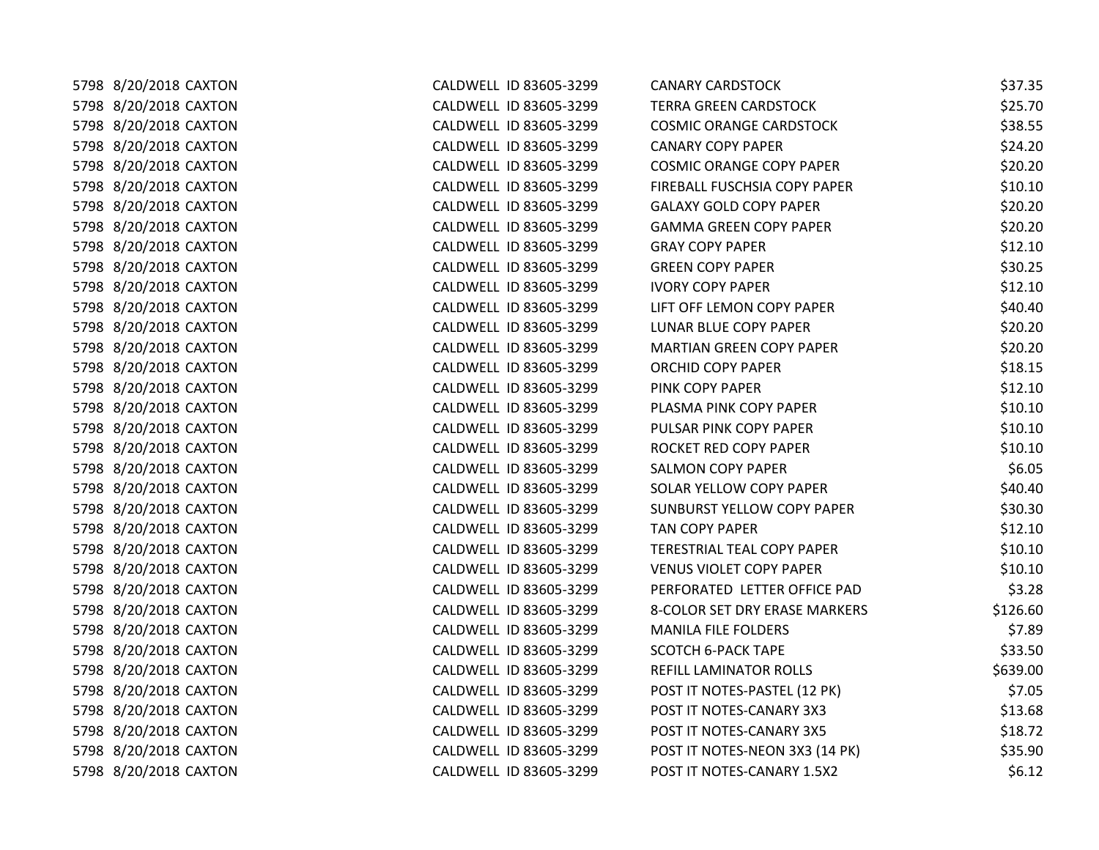| 5798 8/20/2018 CAXTON | CALDWELL ID 83605-3299 | <b>CANARY CARDSTOCK</b>           | \$37.35  |
|-----------------------|------------------------|-----------------------------------|----------|
| 5798 8/20/2018 CAXTON | CALDWELL ID 83605-3299 | <b>TERRA GREEN CARDSTOCK</b>      | \$25.70  |
| 5798 8/20/2018 CAXTON | CALDWELL ID 83605-3299 | <b>COSMIC ORANGE CARDSTOCK</b>    | \$38.55  |
| 5798 8/20/2018 CAXTON | CALDWELL ID 83605-3299 | <b>CANARY COPY PAPER</b>          | \$24.20  |
| 5798 8/20/2018 CAXTON | CALDWELL ID 83605-3299 | <b>COSMIC ORANGE COPY PAPER</b>   | \$20.20  |
| 5798 8/20/2018 CAXTON | CALDWELL ID 83605-3299 | FIREBALL FUSCHSIA COPY PAPER      | \$10.10  |
| 5798 8/20/2018 CAXTON | CALDWELL ID 83605-3299 | <b>GALAXY GOLD COPY PAPER</b>     | \$20.20  |
| 5798 8/20/2018 CAXTON | CALDWELL ID 83605-3299 | <b>GAMMA GREEN COPY PAPER</b>     | \$20.20  |
| 5798 8/20/2018 CAXTON | CALDWELL ID 83605-3299 | <b>GRAY COPY PAPER</b>            | \$12.10  |
| 5798 8/20/2018 CAXTON | CALDWELL ID 83605-3299 | <b>GREEN COPY PAPER</b>           | \$30.25  |
| 5798 8/20/2018 CAXTON | CALDWELL ID 83605-3299 | <b>IVORY COPY PAPER</b>           | \$12.10  |
| 5798 8/20/2018 CAXTON | CALDWELL ID 83605-3299 | LIFT OFF LEMON COPY PAPER         | \$40.40  |
| 5798 8/20/2018 CAXTON | CALDWELL ID 83605-3299 | LUNAR BLUE COPY PAPER             | \$20.20  |
| 5798 8/20/2018 CAXTON | CALDWELL ID 83605-3299 | MARTIAN GREEN COPY PAPER          | \$20.20  |
| 5798 8/20/2018 CAXTON | CALDWELL ID 83605-3299 | <b>ORCHID COPY PAPER</b>          | \$18.15  |
| 5798 8/20/2018 CAXTON | CALDWELL ID 83605-3299 | PINK COPY PAPER                   | \$12.10  |
| 5798 8/20/2018 CAXTON | CALDWELL ID 83605-3299 | PLASMA PINK COPY PAPER            | \$10.10  |
| 5798 8/20/2018 CAXTON | CALDWELL ID 83605-3299 | PULSAR PINK COPY PAPER            | \$10.10  |
| 5798 8/20/2018 CAXTON | CALDWELL ID 83605-3299 | ROCKET RED COPY PAPER             | \$10.10  |
| 5798 8/20/2018 CAXTON | CALDWELL ID 83605-3299 | <b>SALMON COPY PAPER</b>          | \$6.05   |
| 5798 8/20/2018 CAXTON | CALDWELL ID 83605-3299 | SOLAR YELLOW COPY PAPER           | \$40.40  |
| 5798 8/20/2018 CAXTON | CALDWELL ID 83605-3299 | <b>SUNBURST YELLOW COPY PAPER</b> | \$30.30  |
| 5798 8/20/2018 CAXTON | CALDWELL ID 83605-3299 | TAN COPY PAPER                    | \$12.10  |
| 5798 8/20/2018 CAXTON | CALDWELL ID 83605-3299 | TERESTRIAL TEAL COPY PAPER        | \$10.10  |
| 5798 8/20/2018 CAXTON | CALDWELL ID 83605-3299 | <b>VENUS VIOLET COPY PAPER</b>    | \$10.10  |
| 5798 8/20/2018 CAXTON | CALDWELL ID 83605-3299 | PERFORATED LETTER OFFICE PAD      | \$3.28   |
| 5798 8/20/2018 CAXTON | CALDWELL ID 83605-3299 | 8-COLOR SET DRY ERASE MARKERS     | \$126.60 |
| 5798 8/20/2018 CAXTON | CALDWELL ID 83605-3299 | <b>MANILA FILE FOLDERS</b>        | \$7.89   |
| 5798 8/20/2018 CAXTON | CALDWELL ID 83605-3299 | <b>SCOTCH 6-PACK TAPE</b>         | \$33.50  |
| 5798 8/20/2018 CAXTON | CALDWELL ID 83605-3299 | REFILL LAMINATOR ROLLS            | \$639.00 |
| 5798 8/20/2018 CAXTON | CALDWELL ID 83605-3299 | POST IT NOTES-PASTEL (12 PK)      | \$7.05   |
| 5798 8/20/2018 CAXTON | CALDWELL ID 83605-3299 | POST IT NOTES-CANARY 3X3          | \$13.68  |
| 5798 8/20/2018 CAXTON | CALDWELL ID 83605-3299 | POST IT NOTES-CANARY 3X5          | \$18.72  |
| 5798 8/20/2018 CAXTON | CALDWELL ID 83605-3299 | POST IT NOTES-NEON 3X3 (14 PK)    | \$35.90  |
| 5798 8/20/2018 CAXTON | CALDWELL ID 83605-3299 | POST IT NOTES-CANARY 1.5X2        | \$6.12   |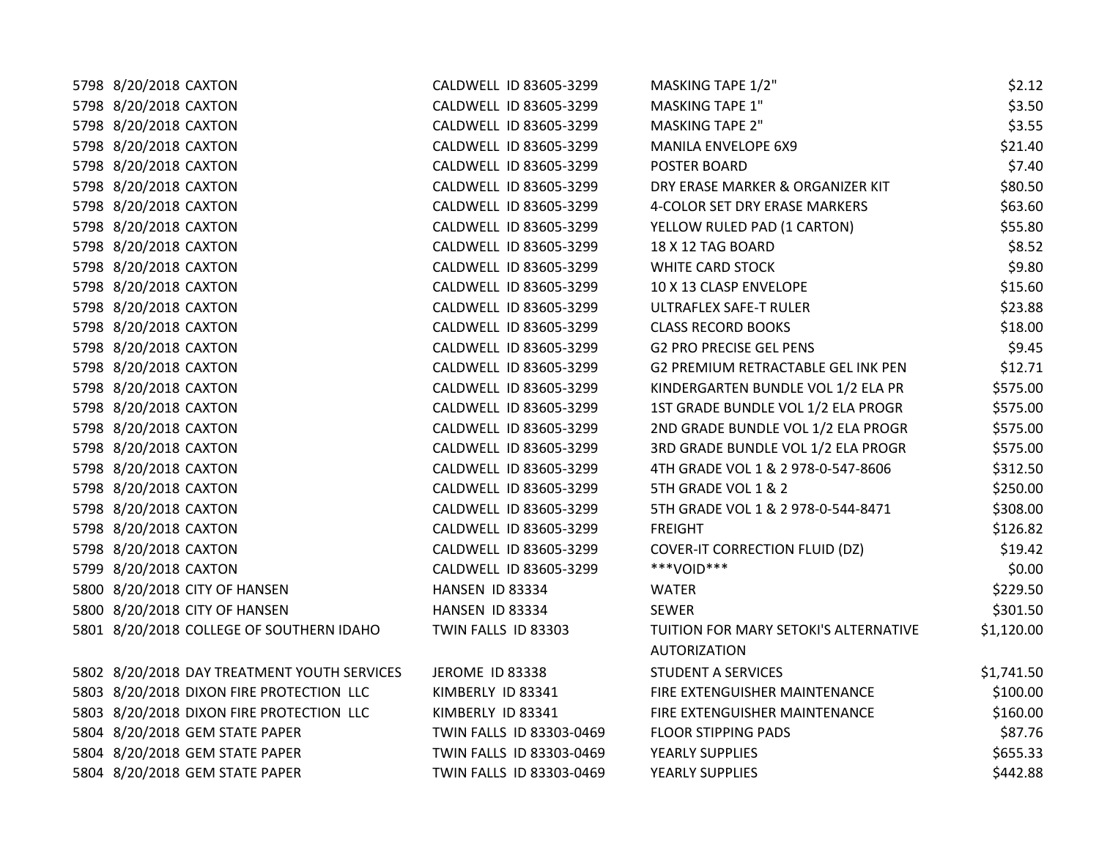| 5798 8/20/2018 CAXTON                       | CALDWELL ID 83605-3299   | MASKING TAPE 1/2"                         | \$2.12     |
|---------------------------------------------|--------------------------|-------------------------------------------|------------|
| 5798 8/20/2018 CAXTON                       | CALDWELL ID 83605-3299   | <b>MASKING TAPE 1"</b>                    | \$3.50     |
| 5798 8/20/2018 CAXTON                       | CALDWELL ID 83605-3299   | <b>MASKING TAPE 2"</b>                    | \$3.55     |
| 5798 8/20/2018 CAXTON                       | CALDWELL ID 83605-3299   | MANILA ENVELOPE 6X9                       | \$21.40    |
| 5798 8/20/2018 CAXTON                       | CALDWELL ID 83605-3299   | POSTER BOARD                              | \$7.40     |
| 5798 8/20/2018 CAXTON                       | CALDWELL ID 83605-3299   | DRY ERASE MARKER & ORGANIZER KIT          | \$80.50    |
| 5798 8/20/2018 CAXTON                       | CALDWELL ID 83605-3299   | 4-COLOR SET DRY ERASE MARKERS             | \$63.60    |
| 5798 8/20/2018 CAXTON                       | CALDWELL ID 83605-3299   | YELLOW RULED PAD (1 CARTON)               | \$55.80    |
| 5798 8/20/2018 CAXTON                       | CALDWELL ID 83605-3299   | 18 X 12 TAG BOARD                         | \$8.52     |
| 5798 8/20/2018 CAXTON                       | CALDWELL ID 83605-3299   | <b>WHITE CARD STOCK</b>                   | \$9.80     |
| 5798 8/20/2018 CAXTON                       | CALDWELL ID 83605-3299   | 10 X 13 CLASP ENVELOPE                    | \$15.60    |
| 5798 8/20/2018 CAXTON                       | CALDWELL ID 83605-3299   | ULTRAFLEX SAFE-T RULER                    | \$23.88    |
| 5798 8/20/2018 CAXTON                       | CALDWELL ID 83605-3299   | <b>CLASS RECORD BOOKS</b>                 | \$18.00    |
| 5798 8/20/2018 CAXTON                       | CALDWELL ID 83605-3299   | <b>G2 PRO PRECISE GEL PENS</b>            | \$9.45     |
| 5798 8/20/2018 CAXTON                       | CALDWELL ID 83605-3299   | <b>G2 PREMIUM RETRACTABLE GEL INK PEN</b> | \$12.71    |
| 5798 8/20/2018 CAXTON                       | CALDWELL ID 83605-3299   | KINDERGARTEN BUNDLE VOL 1/2 ELA PR        | \$575.00   |
| 5798 8/20/2018 CAXTON                       | CALDWELL ID 83605-3299   | 1ST GRADE BUNDLE VOL 1/2 ELA PROGR        | \$575.00   |
| 5798 8/20/2018 CAXTON                       | CALDWELL ID 83605-3299   | 2ND GRADE BUNDLE VOL 1/2 ELA PROGR        | \$575.00   |
| 5798 8/20/2018 CAXTON                       | CALDWELL ID 83605-3299   | 3RD GRADE BUNDLE VOL 1/2 ELA PROGR        | \$575.00   |
| 5798 8/20/2018 CAXTON                       | CALDWELL ID 83605-3299   | 4TH GRADE VOL 1 & 2 978-0-547-8606        | \$312.50   |
| 5798 8/20/2018 CAXTON                       | CALDWELL ID 83605-3299   | 5TH GRADE VOL 1 & 2                       | \$250.00   |
| 5798 8/20/2018 CAXTON                       | CALDWELL ID 83605-3299   | 5TH GRADE VOL 1 & 2 978-0-544-8471        | \$308.00   |
| 5798 8/20/2018 CAXTON                       | CALDWELL ID 83605-3299   | <b>FREIGHT</b>                            | \$126.82   |
| 5798 8/20/2018 CAXTON                       | CALDWELL ID 83605-3299   | <b>COVER-IT CORRECTION FLUID (DZ)</b>     | \$19.42    |
| 5799 8/20/2018 CAXTON                       | CALDWELL ID 83605-3299   | ***VOID***                                | \$0.00     |
| 5800 8/20/2018 CITY OF HANSEN               | HANSEN ID 83334          | WATER                                     | \$229.50   |
| 5800 8/20/2018 CITY OF HANSEN               | HANSEN ID 83334          | <b>SEWER</b>                              | \$301.50   |
| 5801 8/20/2018 COLLEGE OF SOUTHERN IDAHO    | TWIN FALLS ID 83303      | TUITION FOR MARY SETOKI'S ALTERNATIVE     | \$1,120.00 |
|                                             |                          | <b>AUTORIZATION</b>                       |            |
| 5802 8/20/2018 DAY TREATMENT YOUTH SERVICES | JEROME ID 83338          | <b>STUDENT A SERVICES</b>                 | \$1,741.50 |
| 5803 8/20/2018 DIXON FIRE PROTECTION LLC    | KIMBERLY ID 83341        | FIRE EXTENGUISHER MAINTENANCE             | \$100.00   |
| 5803 8/20/2018 DIXON FIRE PROTECTION LLC    | KIMBERLY ID 83341        | FIRE EXTENGUISHER MAINTENANCE             | \$160.00   |
| 5804 8/20/2018 GEM STATE PAPER              | TWIN FALLS ID 83303-0469 | <b>FLOOR STIPPING PADS</b>                | \$87.76    |
| 5804 8/20/2018 GEM STATE PAPER              | TWIN FALLS ID 83303-0469 | YEARLY SUPPLIES                           | \$655.33   |
| 5804 8/20/2018 GEM STATE PAPER              | TWIN FALLS ID 83303-0469 | YEARLY SUPPLIES                           | \$442.88   |
|                                             |                          |                                           |            |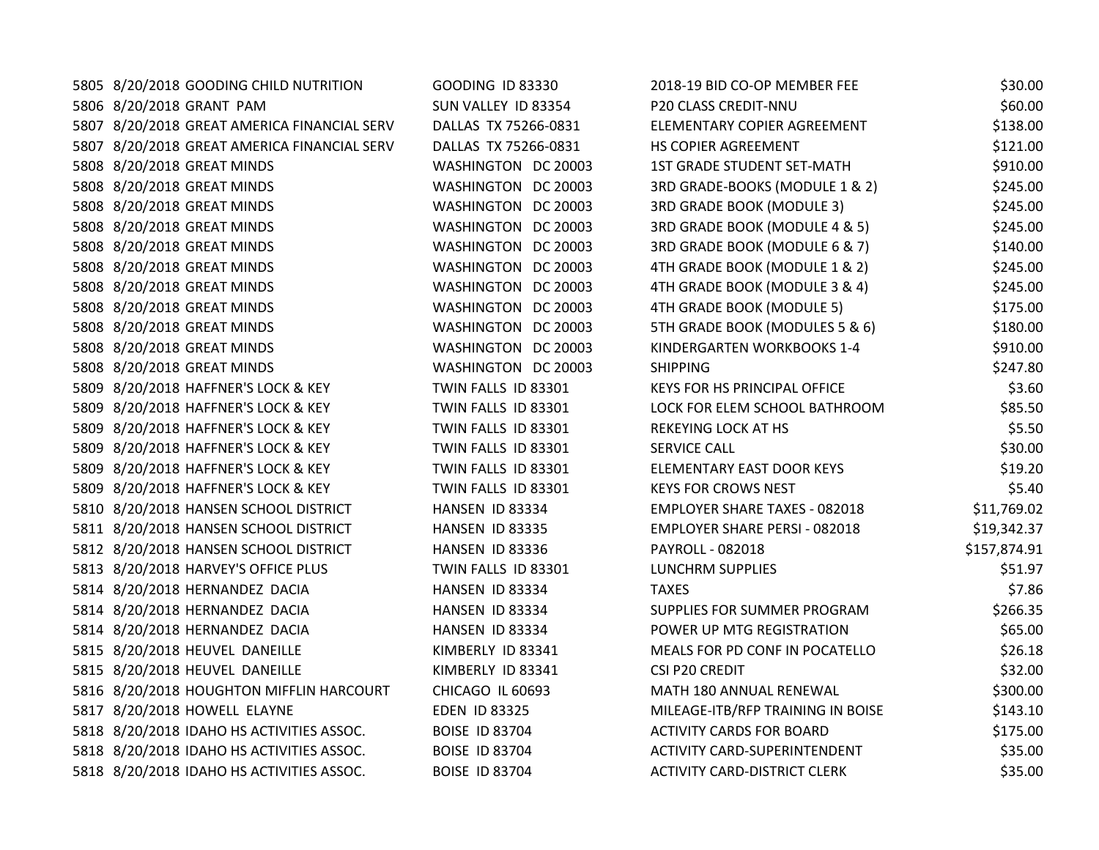| 5805 8/20/2018 GOODING CHILD NUTRITION      | <b>GOODING ID 83330</b> | 2018-19 BID CO-OP MEMBER FEE         | \$30.00      |
|---------------------------------------------|-------------------------|--------------------------------------|--------------|
| 5806 8/20/2018 GRANT PAM                    | SUN VALLEY ID 83354     | <b>P20 CLASS CREDIT-NNU</b>          | \$60.00      |
| 5807 8/20/2018 GREAT AMERICA FINANCIAL SERV | DALLAS TX 75266-0831    | ELEMENTARY COPIER AGREEMENT          | \$138.00     |
| 5807 8/20/2018 GREAT AMERICA FINANCIAL SERV | DALLAS TX 75266-0831    | HS COPIER AGREEMENT                  | \$121.00     |
| 5808 8/20/2018 GREAT MINDS                  | WASHINGTON DC 20003     | <b>1ST GRADE STUDENT SET-MATH</b>    | \$910.00     |
| 5808 8/20/2018 GREAT MINDS                  | WASHINGTON DC 20003     | 3RD GRADE-BOOKS (MODULE 1 & 2)       | \$245.00     |
| 5808 8/20/2018 GREAT MINDS                  | WASHINGTON DC 20003     | 3RD GRADE BOOK (MODULE 3)            | \$245.00     |
| 5808 8/20/2018 GREAT MINDS                  | WASHINGTON DC 20003     | 3RD GRADE BOOK (MODULE 4 & 5)        | \$245.00     |
| 5808 8/20/2018 GREAT MINDS                  | WASHINGTON DC 20003     | 3RD GRADE BOOK (MODULE 6 & 7)        | \$140.00     |
| 5808 8/20/2018 GREAT MINDS                  | WASHINGTON DC 20003     | 4TH GRADE BOOK (MODULE 1 & 2)        | \$245.00     |
| 5808 8/20/2018 GREAT MINDS                  | WASHINGTON DC 20003     | 4TH GRADE BOOK (MODULE 3 & 4)        | \$245.00     |
| 5808 8/20/2018 GREAT MINDS                  | WASHINGTON DC 20003     | 4TH GRADE BOOK (MODULE 5)            | \$175.00     |
| 5808 8/20/2018 GREAT MINDS                  | WASHINGTON DC 20003     | 5TH GRADE BOOK (MODULES 5 & 6)       | \$180.00     |
| 5808 8/20/2018 GREAT MINDS                  | WASHINGTON DC 20003     | KINDERGARTEN WORKBOOKS 1-4           | \$910.00     |
| 5808 8/20/2018 GREAT MINDS                  | WASHINGTON DC 20003     | <b>SHIPPING</b>                      | \$247.80     |
| 5809 8/20/2018 HAFFNER'S LOCK & KEY         | TWIN FALLS ID 83301     | KEYS FOR HS PRINCIPAL OFFICE         | \$3.60       |
| 5809 8/20/2018 HAFFNER'S LOCK & KEY         | TWIN FALLS ID 83301     | LOCK FOR ELEM SCHOOL BATHROOM        | \$85.50      |
| 5809 8/20/2018 HAFFNER'S LOCK & KEY         | TWIN FALLS ID 83301     | REKEYING LOCK AT HS                  | \$5.50       |
| 5809 8/20/2018 HAFFNER'S LOCK & KEY         | TWIN FALLS ID 83301     | SERVICE CALL                         | \$30.00      |
| 5809 8/20/2018 HAFFNER'S LOCK & KEY         | TWIN FALLS ID 83301     | ELEMENTARY EAST DOOR KEYS            | \$19.20      |
| 5809 8/20/2018 HAFFNER'S LOCK & KEY         | TWIN FALLS ID 83301     | <b>KEYS FOR CROWS NEST</b>           | \$5.40       |
| 5810 8/20/2018 HANSEN SCHOOL DISTRICT       | HANSEN ID 83334         | <b>EMPLOYER SHARE TAXES - 082018</b> | \$11,769.02  |
| 5811 8/20/2018 HANSEN SCHOOL DISTRICT       | HANSEN ID 83335         | <b>EMPLOYER SHARE PERSI - 082018</b> | \$19,342.37  |
| 5812 8/20/2018 HANSEN SCHOOL DISTRICT       | HANSEN ID 83336         | PAYROLL - 082018                     | \$157,874.91 |
| 5813 8/20/2018 HARVEY'S OFFICE PLUS         | TWIN FALLS ID 83301     | LUNCHRM SUPPLIES                     | \$51.97      |
| 5814 8/20/2018 HERNANDEZ DACIA              | HANSEN ID 83334         | <b>TAXES</b>                         | \$7.86       |
| 5814 8/20/2018 HERNANDEZ DACIA              | HANSEN ID 83334         | SUPPLIES FOR SUMMER PROGRAM          | \$266.35     |
| 5814 8/20/2018 HERNANDEZ DACIA              | HANSEN ID 83334         | POWER UP MTG REGISTRATION            | \$65.00      |
| 5815 8/20/2018 HEUVEL DANEILLE              | KIMBERLY ID 83341       | MEALS FOR PD CONF IN POCATELLO       | \$26.18      |
| 5815 8/20/2018 HEUVEL DANEILLE              | KIMBERLY ID 83341       | <b>CSI P20 CREDIT</b>                | \$32.00      |
| 5816 8/20/2018 HOUGHTON MIFFLIN HARCOURT    | CHICAGO IL 60693        | MATH 180 ANNUAL RENEWAL              | \$300.00     |
| 5817 8/20/2018 HOWELL ELAYNE                | <b>EDEN ID 83325</b>    | MILEAGE-ITB/RFP TRAINING IN BOISE    | \$143.10     |
| 5818 8/20/2018 IDAHO HS ACTIVITIES ASSOC.   | <b>BOISE ID 83704</b>   | <b>ACTIVITY CARDS FOR BOARD</b>      | \$175.00     |
| 5818 8/20/2018 IDAHO HS ACTIVITIES ASSOC.   | <b>BOISE ID 83704</b>   | <b>ACTIVITY CARD-SUPERINTENDENT</b>  | \$35.00      |
| 5818 8/20/2018 IDAHO HS ACTIVITIES ASSOC.   | <b>BOISE ID 83704</b>   | <b>ACTIVITY CARD-DISTRICT CLERK</b>  | \$35.00      |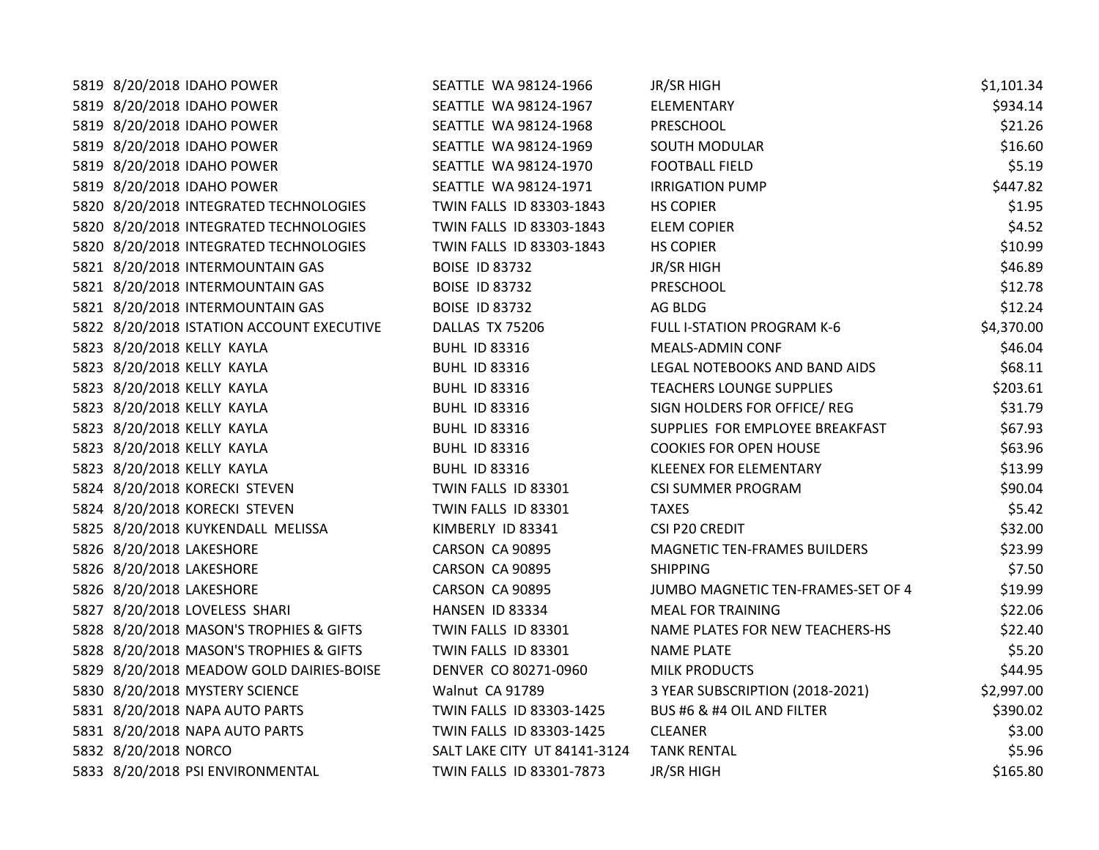| 5819 8/20/2018 IDAHO POWER                | SEATTLE WA 98124-1966        | JR/SR HIGH                         | \$1,101.34 |
|-------------------------------------------|------------------------------|------------------------------------|------------|
| 5819 8/20/2018 IDAHO POWER                | SEATTLE WA 98124-1967        | <b>ELEMENTARY</b>                  | \$934.14   |
| 5819 8/20/2018 IDAHO POWER                | SEATTLE WA 98124-1968        | PRESCHOOL                          | \$21.26    |
| 5819 8/20/2018 IDAHO POWER                | SEATTLE WA 98124-1969        | <b>SOUTH MODULAR</b>               | \$16.60    |
| 5819 8/20/2018 IDAHO POWER                | SEATTLE WA 98124-1970        | <b>FOOTBALL FIELD</b>              | \$5.19     |
| 5819 8/20/2018 IDAHO POWER                | SEATTLE WA 98124-1971        | <b>IRRIGATION PUMP</b>             | \$447.82   |
| 5820 8/20/2018 INTEGRATED TECHNOLOGIES    | TWIN FALLS ID 83303-1843     | <b>HS COPIER</b>                   | \$1.95     |
| 5820 8/20/2018 INTEGRATED TECHNOLOGIES    | TWIN FALLS ID 83303-1843     | <b>ELEM COPIER</b>                 | \$4.52     |
| 5820 8/20/2018 INTEGRATED TECHNOLOGIES    | TWIN FALLS ID 83303-1843     | <b>HS COPIER</b>                   | \$10.99    |
| 5821 8/20/2018 INTERMOUNTAIN GAS          | <b>BOISE ID 83732</b>        | <b>JR/SR HIGH</b>                  | \$46.89    |
| 5821 8/20/2018 INTERMOUNTAIN GAS          | <b>BOISE ID 83732</b>        | PRESCHOOL                          | \$12.78    |
| 5821 8/20/2018 INTERMOUNTAIN GAS          | <b>BOISE ID 83732</b>        | AG BLDG                            | \$12.24    |
| 5822 8/20/2018 ISTATION ACCOUNT EXECUTIVE | DALLAS TX 75206              | FULL I-STATION PROGRAM K-6         | \$4,370.00 |
| 5823 8/20/2018 KELLY KAYLA                | <b>BUHL ID 83316</b>         | MEALS-ADMIN CONF                   | \$46.04    |
| 5823 8/20/2018 KELLY KAYLA                | <b>BUHL ID 83316</b>         | LEGAL NOTEBOOKS AND BAND AIDS      | \$68.11    |
| 5823 8/20/2018 KELLY KAYLA                | <b>BUHL ID 83316</b>         | <b>TEACHERS LOUNGE SUPPLIES</b>    | \$203.61   |
| 5823 8/20/2018 KELLY KAYLA                | <b>BUHL ID 83316</b>         | SIGN HOLDERS FOR OFFICE/REG        | \$31.79    |
| 5823 8/20/2018 KELLY KAYLA                | <b>BUHL ID 83316</b>         | SUPPLIES FOR EMPLOYEE BREAKFAST    | \$67.93    |
| 5823 8/20/2018 KELLY KAYLA                | <b>BUHL ID 83316</b>         | <b>COOKIES FOR OPEN HOUSE</b>      | \$63.96    |
| 5823 8/20/2018 KELLY KAYLA                | <b>BUHL ID 83316</b>         | <b>KLEENEX FOR ELEMENTARY</b>      | \$13.99    |
| 5824 8/20/2018 KORECKI STEVEN             | TWIN FALLS ID 83301          | <b>CSI SUMMER PROGRAM</b>          | \$90.04    |
| 5824 8/20/2018 KORECKI STEVEN             | TWIN FALLS ID 83301          | <b>TAXES</b>                       | \$5.42     |
| 5825 8/20/2018 KUYKENDALL MELISSA         | KIMBERLY ID 83341            | CSI P20 CREDIT                     | \$32.00    |
| 5826 8/20/2018 LAKESHORE                  | CARSON CA 90895              | MAGNETIC TEN-FRAMES BUILDERS       | \$23.99    |
| 5826 8/20/2018 LAKESHORE                  | CARSON CA 90895              | <b>SHIPPING</b>                    | \$7.50     |
| 5826 8/20/2018 LAKESHORE                  | CARSON CA 90895              | JUMBO MAGNETIC TEN-FRAMES-SET OF 4 | \$19.99    |
| 5827 8/20/2018 LOVELESS SHARI             | HANSEN ID 83334              | <b>MEAL FOR TRAINING</b>           | \$22.06    |
| 5828 8/20/2018 MASON'S TROPHIES & GIFTS   | TWIN FALLS ID 83301          | NAME PLATES FOR NEW TEACHERS-HS    | \$22.40    |
| 5828 8/20/2018 MASON'S TROPHIES & GIFTS   | TWIN FALLS ID 83301          | <b>NAME PLATE</b>                  | \$5.20     |
| 5829 8/20/2018 MEADOW GOLD DAIRIES-BOISE  | DENVER CO 80271-0960         | <b>MILK PRODUCTS</b>               | \$44.95    |
| 5830 8/20/2018 MYSTERY SCIENCE            | Walnut CA 91789              | 3 YEAR SUBSCRIPTION (2018-2021)    | \$2,997.00 |
| 5831 8/20/2018 NAPA AUTO PARTS            | TWIN FALLS ID 83303-1425     | BUS #6 & #4 OIL AND FILTER         | \$390.02   |
| 5831 8/20/2018 NAPA AUTO PARTS            | TWIN FALLS ID 83303-1425     | <b>CLEANER</b>                     | \$3.00     |
| 5832 8/20/2018 NORCO                      | SALT LAKE CITY UT 84141-3124 | <b>TANK RENTAL</b>                 | \$5.96     |
| 5833 8/20/2018 PSI ENVIRONMENTAL          | TWIN FALLS ID 83301-7873     | <b>JR/SR HIGH</b>                  | \$165.80   |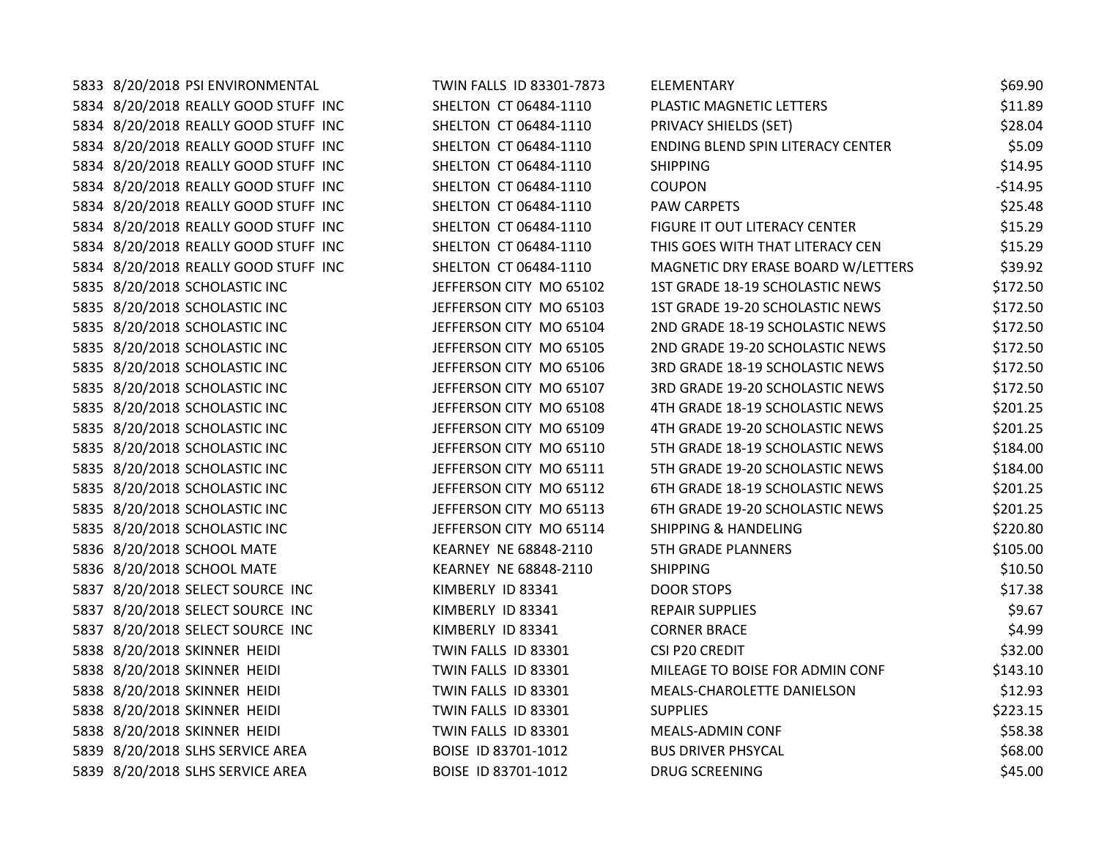| 5833 8/20/2018 PSI ENVIRONMENTAL     | TWIN FALLS ID 83301-7873 | ELEMENTARY                         | \$69.90   |
|--------------------------------------|--------------------------|------------------------------------|-----------|
| 5834 8/20/2018 REALLY GOOD STUFF INC | SHELTON CT 06484-1110    | PLASTIC MAGNETIC LETTERS           | \$11.89   |
| 5834 8/20/2018 REALLY GOOD STUFF INC | SHELTON CT 06484-1110    | PRIVACY SHIELDS (SET)              | \$28.04   |
| 5834 8/20/2018 REALLY GOOD STUFF INC | SHELTON CT 06484-1110    | ENDING BLEND SPIN LITERACY CENTER  | \$5.09    |
| 5834 8/20/2018 REALLY GOOD STUFF INC | SHELTON CT 06484-1110    | <b>SHIPPING</b>                    | \$14.95   |
| 5834 8/20/2018 REALLY GOOD STUFF INC | SHELTON CT 06484-1110    | <b>COUPON</b>                      | $-$14.95$ |
| 5834 8/20/2018 REALLY GOOD STUFF INC | SHELTON CT 06484-1110    | PAW CARPETS                        | \$25.48   |
| 5834 8/20/2018 REALLY GOOD STUFF INC | SHELTON CT 06484-1110    | FIGURE IT OUT LITERACY CENTER      | \$15.29   |
| 5834 8/20/2018 REALLY GOOD STUFF INC | SHELTON CT 06484-1110    | THIS GOES WITH THAT LITERACY CEN   | \$15.29   |
| 5834 8/20/2018 REALLY GOOD STUFF INC | SHELTON CT 06484-1110    | MAGNETIC DRY ERASE BOARD W/LETTERS | \$39.92   |
| 5835 8/20/2018 SCHOLASTIC INC        | JEFFERSON CITY MO 65102  | 1ST GRADE 18-19 SCHOLASTIC NEWS    | \$172.50  |
| 5835 8/20/2018 SCHOLASTIC INC        | JEFFERSON CITY MO 65103  | 1ST GRADE 19-20 SCHOLASTIC NEWS    | \$172.50  |
| 5835 8/20/2018 SCHOLASTIC INC        | JEFFERSON CITY MO 65104  | 2ND GRADE 18-19 SCHOLASTIC NEWS    | \$172.50  |
| 5835 8/20/2018 SCHOLASTIC INC        | JEFFERSON CITY MO 65105  | 2ND GRADE 19-20 SCHOLASTIC NEWS    | \$172.50  |
| 5835 8/20/2018 SCHOLASTIC INC        | JEFFERSON CITY MO 65106  | 3RD GRADE 18-19 SCHOLASTIC NEWS    | \$172.50  |
| 5835 8/20/2018 SCHOLASTIC INC        | JEFFERSON CITY MO 65107  | 3RD GRADE 19-20 SCHOLASTIC NEWS    | \$172.50  |
| 5835 8/20/2018 SCHOLASTIC INC        | JEFFERSON CITY MO 65108  | 4TH GRADE 18-19 SCHOLASTIC NEWS    | \$201.25  |
| 5835 8/20/2018 SCHOLASTIC INC        | JEFFERSON CITY MO 65109  | 4TH GRADE 19-20 SCHOLASTIC NEWS    | \$201.25  |
| 5835 8/20/2018 SCHOLASTIC INC        | JEFFERSON CITY MO 65110  | 5TH GRADE 18-19 SCHOLASTIC NEWS    | \$184.00  |
| 5835 8/20/2018 SCHOLASTIC INC        | JEFFERSON CITY MO 65111  | 5TH GRADE 19-20 SCHOLASTIC NEWS    | \$184.00  |
| 5835 8/20/2018 SCHOLASTIC INC        | JEFFERSON CITY MO 65112  | 6TH GRADE 18-19 SCHOLASTIC NEWS    | \$201.25  |
| 5835 8/20/2018 SCHOLASTIC INC        | JEFFERSON CITY MO 65113  | 6TH GRADE 19-20 SCHOLASTIC NEWS    | \$201.25  |
| 5835 8/20/2018 SCHOLASTIC INC        | JEFFERSON CITY MO 65114  | <b>SHIPPING &amp; HANDELING</b>    | \$220.80  |
| 5836 8/20/2018 SCHOOL MATE           | KEARNEY NE 68848-2110    | <b>5TH GRADE PLANNERS</b>          | \$105.00  |
| 5836 8/20/2018 SCHOOL MATE           | KEARNEY NE 68848-2110    | <b>SHIPPING</b>                    | \$10.50   |
| 5837 8/20/2018 SELECT SOURCE INC     | KIMBERLY ID 83341        | DOOR STOPS                         | \$17.38   |
| 5837 8/20/2018 SELECT SOURCE INC     | KIMBERLY ID 83341        | <b>REPAIR SUPPLIES</b>             | \$9.67    |
| 5837 8/20/2018 SELECT SOURCE INC     | KIMBERLY ID 83341        | <b>CORNER BRACE</b>                | \$4.99    |
| 5838 8/20/2018 SKINNER HEIDI         | TWIN FALLS ID 83301      | <b>CSI P20 CREDIT</b>              | \$32.00   |
| 5838 8/20/2018 SKINNER HEIDI         | TWIN FALLS ID 83301      | MILEAGE TO BOISE FOR ADMIN CONF    | \$143.10  |
| 5838 8/20/2018 SKINNER HEIDI         | TWIN FALLS ID 83301      | MEALS-CHAROLETTE DANIELSON         | \$12.93   |
| 5838 8/20/2018 SKINNER HEIDI         | TWIN FALLS ID 83301      | <b>SUPPLIES</b>                    | \$223.15  |
| 5838 8/20/2018 SKINNER HEIDI         | TWIN FALLS ID 83301      | MEALS-ADMIN CONF                   | \$58.38   |
| 5839 8/20/2018 SLHS SERVICE AREA     | BOISE ID 83701-1012      | <b>BUS DRIVER PHSYCAL</b>          | \$68.00   |
| 5839 8/20/2018 SLHS SERVICE AREA     | BOISE ID 83701-1012      | <b>DRUG SCREENING</b>              | \$45.00   |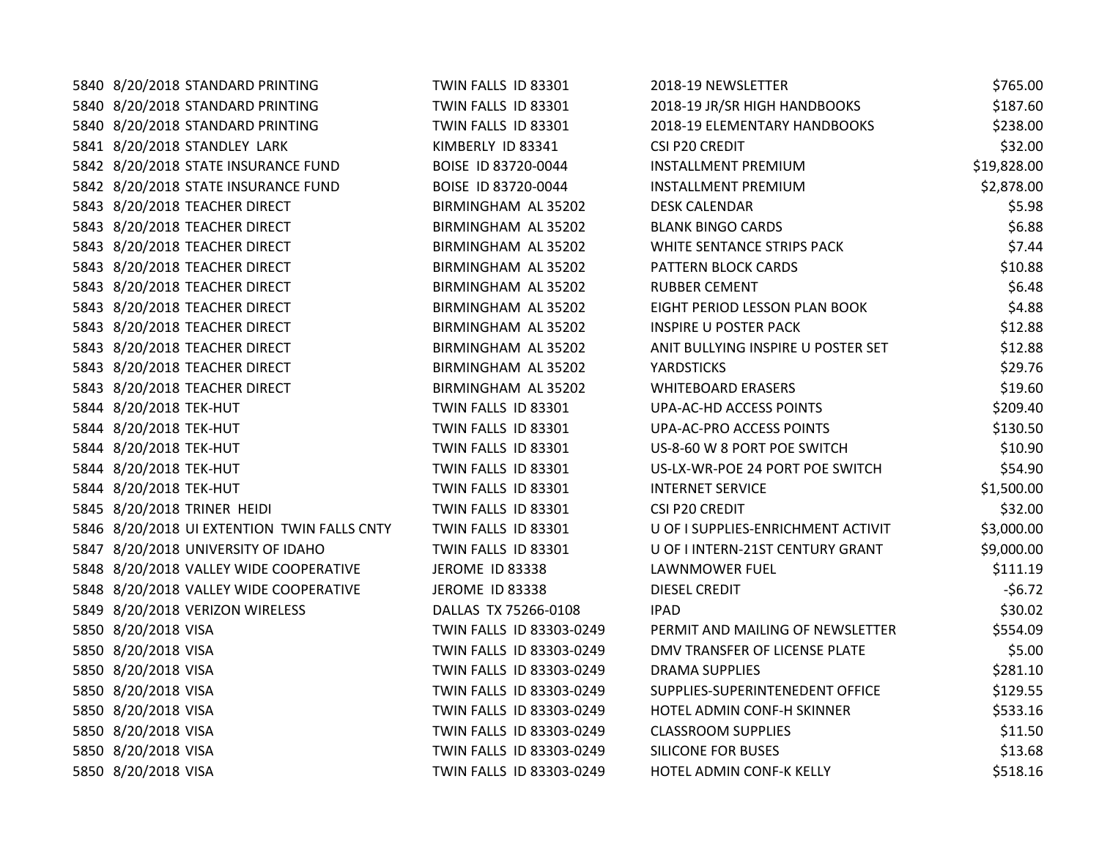| 5840 8/20/2018 STANDARD PRINTING            | TWIN FALLS ID 83301      | 2018-19 NEWSLETTER                 | \$765.00    |
|---------------------------------------------|--------------------------|------------------------------------|-------------|
| 5840 8/20/2018 STANDARD PRINTING            | TWIN FALLS ID 83301      | 2018-19 JR/SR HIGH HANDBOOKS       | \$187.60    |
| 5840 8/20/2018 STANDARD PRINTING            | TWIN FALLS ID 83301      | 2018-19 ELEMENTARY HANDBOOKS       | \$238.00    |
| 5841 8/20/2018 STANDLEY LARK                | KIMBERLY ID 83341        | <b>CSI P20 CREDIT</b>              | \$32.00     |
| 5842 8/20/2018 STATE INSURANCE FUND         | BOISE ID 83720-0044      | <b>INSTALLMENT PREMIUM</b>         | \$19,828.00 |
| 5842 8/20/2018 STATE INSURANCE FUND         | BOISE ID 83720-0044      | <b>INSTALLMENT PREMIUM</b>         | \$2,878.00  |
| 5843 8/20/2018 TEACHER DIRECT               | BIRMINGHAM AL 35202      | <b>DESK CALENDAR</b>               | \$5.98      |
| 5843 8/20/2018 TEACHER DIRECT               | BIRMINGHAM AL 35202      | <b>BLANK BINGO CARDS</b>           | \$6.88      |
| 5843 8/20/2018 TEACHER DIRECT               | BIRMINGHAM AL 35202      | WHITE SENTANCE STRIPS PACK         | \$7.44      |
| 5843 8/20/2018 TEACHER DIRECT               | BIRMINGHAM AL 35202      | PATTERN BLOCK CARDS                | \$10.88     |
| 5843 8/20/2018 TEACHER DIRECT               | BIRMINGHAM AL 35202      | <b>RUBBER CEMENT</b>               | \$6.48      |
| 5843 8/20/2018 TEACHER DIRECT               | BIRMINGHAM AL 35202      | EIGHT PERIOD LESSON PLAN BOOK      | \$4.88      |
| 5843 8/20/2018 TEACHER DIRECT               | BIRMINGHAM AL 35202      | <b>INSPIRE U POSTER PACK</b>       | \$12.88     |
| 5843 8/20/2018 TEACHER DIRECT               | BIRMINGHAM AL 35202      | ANIT BULLYING INSPIRE U POSTER SET | \$12.88     |
| 5843 8/20/2018 TEACHER DIRECT               | BIRMINGHAM AL 35202      | <b>YARDSTICKS</b>                  | \$29.76     |
| 5843 8/20/2018 TEACHER DIRECT               | BIRMINGHAM AL 35202      | <b>WHITEBOARD ERASERS</b>          | \$19.60     |
| 5844 8/20/2018 TEK-HUT                      | TWIN FALLS ID 83301      | UPA-AC-HD ACCESS POINTS            | \$209.40    |
| 5844 8/20/2018 TEK-HUT                      | TWIN FALLS ID 83301      | UPA-AC-PRO ACCESS POINTS           | \$130.50    |
| 5844 8/20/2018 TEK-HUT                      | TWIN FALLS ID 83301      | US-8-60 W 8 PORT POE SWITCH        | \$10.90     |
| 5844 8/20/2018 TEK-HUT                      | TWIN FALLS ID 83301      | US-LX-WR-POE 24 PORT POE SWITCH    | \$54.90     |
| 5844 8/20/2018 TEK-HUT                      | TWIN FALLS ID 83301      | <b>INTERNET SERVICE</b>            | \$1,500.00  |
| 5845 8/20/2018 TRINER HEIDI                 | TWIN FALLS ID 83301      | <b>CSI P20 CREDIT</b>              | \$32.00     |
| 5846 8/20/2018 UI EXTENTION TWIN FALLS CNTY | TWIN FALLS ID 83301      | U OF I SUPPLIES-ENRICHMENT ACTIVIT | \$3,000.00  |
| 5847 8/20/2018 UNIVERSITY OF IDAHO          | TWIN FALLS ID 83301      | U OF I INTERN-21ST CENTURY GRANT   | \$9,000.00  |
| 5848 8/20/2018 VALLEY WIDE COOPERATIVE      | <b>JEROME ID 83338</b>   | LAWNMOWER FUEL                     | \$111.19    |
| 5848 8/20/2018 VALLEY WIDE COOPERATIVE      | JEROME ID 83338          | <b>DIESEL CREDIT</b>               | $-56.72$    |
| 5849 8/20/2018 VERIZON WIRELESS             | DALLAS TX 75266-0108     | <b>IPAD</b>                        | \$30.02     |
| 5850 8/20/2018 VISA                         | TWIN FALLS ID 83303-0249 | PERMIT AND MAILING OF NEWSLETTER   | \$554.09    |
| 5850 8/20/2018 VISA                         | TWIN FALLS ID 83303-0249 | DMV TRANSFER OF LICENSE PLATE      | \$5.00      |
| 5850 8/20/2018 VISA                         | TWIN FALLS ID 83303-0249 | <b>DRAMA SUPPLIES</b>              | \$281.10    |
| 5850 8/20/2018 VISA                         | TWIN FALLS ID 83303-0249 | SUPPLIES-SUPERINTENEDENT OFFICE    | \$129.55    |
| 5850 8/20/2018 VISA                         | TWIN FALLS ID 83303-0249 | HOTEL ADMIN CONF-H SKINNER         | \$533.16    |
| 5850 8/20/2018 VISA                         | TWIN FALLS ID 83303-0249 | <b>CLASSROOM SUPPLIES</b>          | \$11.50     |
| 5850 8/20/2018 VISA                         | TWIN FALLS ID 83303-0249 | <b>SILICONE FOR BUSES</b>          | \$13.68     |
| 5850 8/20/2018 VISA                         | TWIN FALLS ID 83303-0249 | HOTEL ADMIN CONF-K KELLY           | \$518.16    |